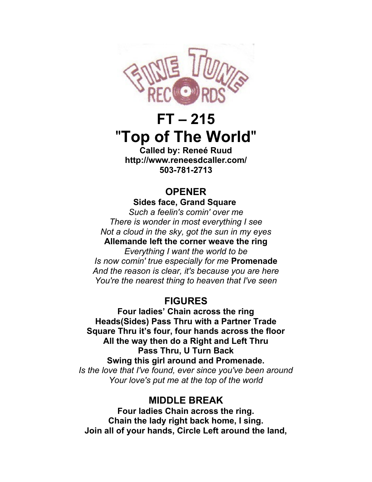

# **FT – 215** "**Top of The World**"

**Called by: Reneé Ruud http://www.reneesdcaller.com/ 503-781-2713**

## **OPENER**

**Sides face, Grand Square**  *Such a feelin's comin' over me There is wonder in most everything I see Not a cloud in the sky, got the sun in my eyes* **Allemande left the corner weave the ring** *Everything I want the world to be Is now comin' true especially for me* **Promenade** *And the reason is clear, it's because you are here You're the nearest thing to heaven that I've seen*

## **FIGURES**

**Four ladies' Chain across the ring Heads(Sides) Pass Thru with a Partner Trade Square Thru it's four, four hands across the floor All the way then do a Right and Left Thru Pass Thru, U Turn Back Swing this girl around and Promenade.** *Is the love that I've found, ever since you've been around Your love's put me at the top of the world*

## **MIDDLE BREAK**

**Four ladies Chain across the ring. Chain the lady right back home, I sing. Join all of your hands, Circle Left around the land,**